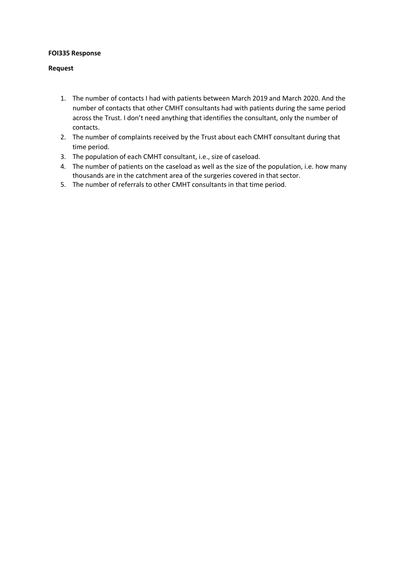### **FOI335 Response**

#### **Request**

- 1. The number of contacts I had with patients between March 2019 and March 2020. And the number of contacts that other CMHT consultants had with patients during the same period across the Trust. I don't need anything that identifies the consultant, only the number of contacts.
- 2. The number of complaints received by the Trust about each CMHT consultant during that time period.
- 3. The population of each CMHT consultant, i.e., size of caseload.
- 4. The number of patients on the caseload as well as the size of the population, i.e. how many thousands are in the catchment area of the surgeries covered in that sector.
- 5. The number of referrals to other CMHT consultants in that time period.